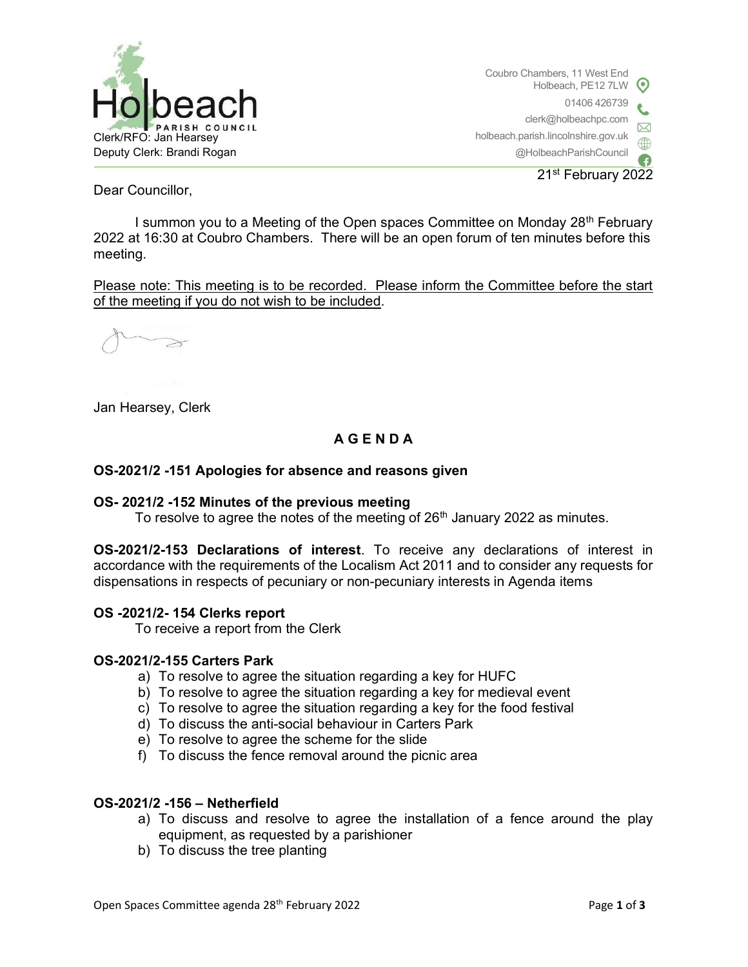

Coubro Chambers, 11 West End Holbeach, PE12 7LW 01406 426739 clerk@holbeachpc.com holbeach.parish.lincolnshire.gov.uk @HolbeachParishCouncil

21st February 2022

Dear Councillor,

I summon you to a Meeting of the Open spaces Committee on Monday 28<sup>th</sup> February 2022 at 16:30 at Coubro Chambers. There will be an open forum of ten minutes before this meeting.

Please note: This meeting is to be recorded. Please inform the Committee before the start of the meeting if you do not wish to be included.

 $\geq$ 

Jan Hearsey, Clerk

# A G E N D A

# OS-2021/2 -151 Apologies for absence and reasons given

## OS- 2021/2 -152 Minutes of the previous meeting

To resolve to agree the notes of the meeting of  $26<sup>th</sup>$  January 2022 as minutes.

OS-2021/2-153 Declarations of interest. To receive any declarations of interest in accordance with the requirements of the Localism Act 2011 and to consider any requests for dispensations in respects of pecuniary or non-pecuniary interests in Agenda items

## OS -2021/2- 154 Clerks report

To receive a report from the Clerk

## OS-2021/2-155 Carters Park

- a) To resolve to agree the situation regarding a key for HUFC
- b) To resolve to agree the situation regarding a key for medieval event
- c) To resolve to agree the situation regarding a key for the food festival
- d) To discuss the anti-social behaviour in Carters Park
- e) To resolve to agree the scheme for the slide
- f) To discuss the fence removal around the picnic area

## OS-2021/2 -156 – Netherfield

- a) To discuss and resolve to agree the installation of a fence around the play equipment, as requested by a parishioner
- b) To discuss the tree planting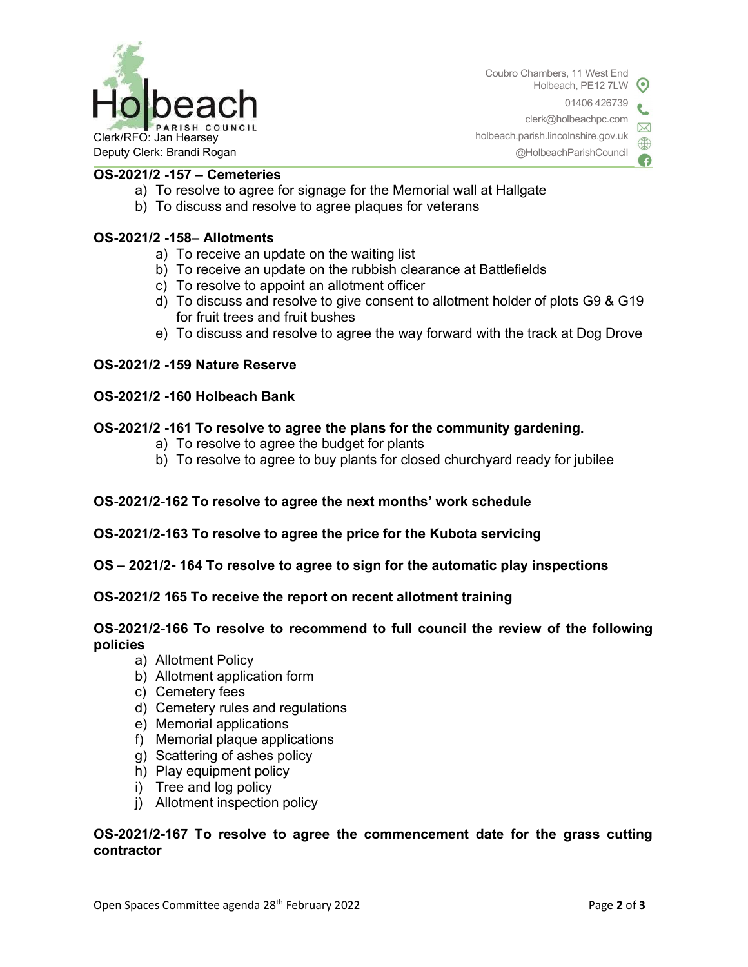

Coubro Chambers, 11 West End  $\odot$ Holbeach, PE12 7LW 01406 426739 clerk@holbeachpc.com holbeach.parish.lincolnshire.gov.uk @HolbeachParishCouncil

OS-2021/2 -157 – Cemeteries

- a) To resolve to agree for signage for the Memorial wall at Hallgate
- b) To discuss and resolve to agree plaques for veterans

## OS-2021/2 -158– Allotments

- a) To receive an update on the waiting list
- b) To receive an update on the rubbish clearance at Battlefields
- c) To resolve to appoint an allotment officer
- d) To discuss and resolve to give consent to allotment holder of plots G9 & G19 for fruit trees and fruit bushes
- e) To discuss and resolve to agree the way forward with the track at Dog Drove

## OS-2021/2 -159 Nature Reserve

## OS-2021/2 -160 Holbeach Bank

## OS-2021/2 -161 To resolve to agree the plans for the community gardening.

- a) To resolve to agree the budget for plants
- b) To resolve to agree to buy plants for closed churchyard ready for jubilee

# OS-2021/2-162 To resolve to agree the next months' work schedule

## OS-2021/2-163 To resolve to agree the price for the Kubota servicing

OS – 2021/2- 164 To resolve to agree to sign for the automatic play inspections

## OS-2021/2 165 To receive the report on recent allotment training

## OS-2021/2-166 To resolve to recommend to full council the review of the following policies

- a) Allotment Policy
- b) Allotment application form
- c) Cemetery fees
- d) Cemetery rules and regulations
- e) Memorial applications
- f) Memorial plaque applications
- g) Scattering of ashes policy
- h) Play equipment policy
- i) Tree and log policy
- j) Allotment inspection policy

# OS-2021/2-167 To resolve to agree the commencement date for the grass cutting contractor